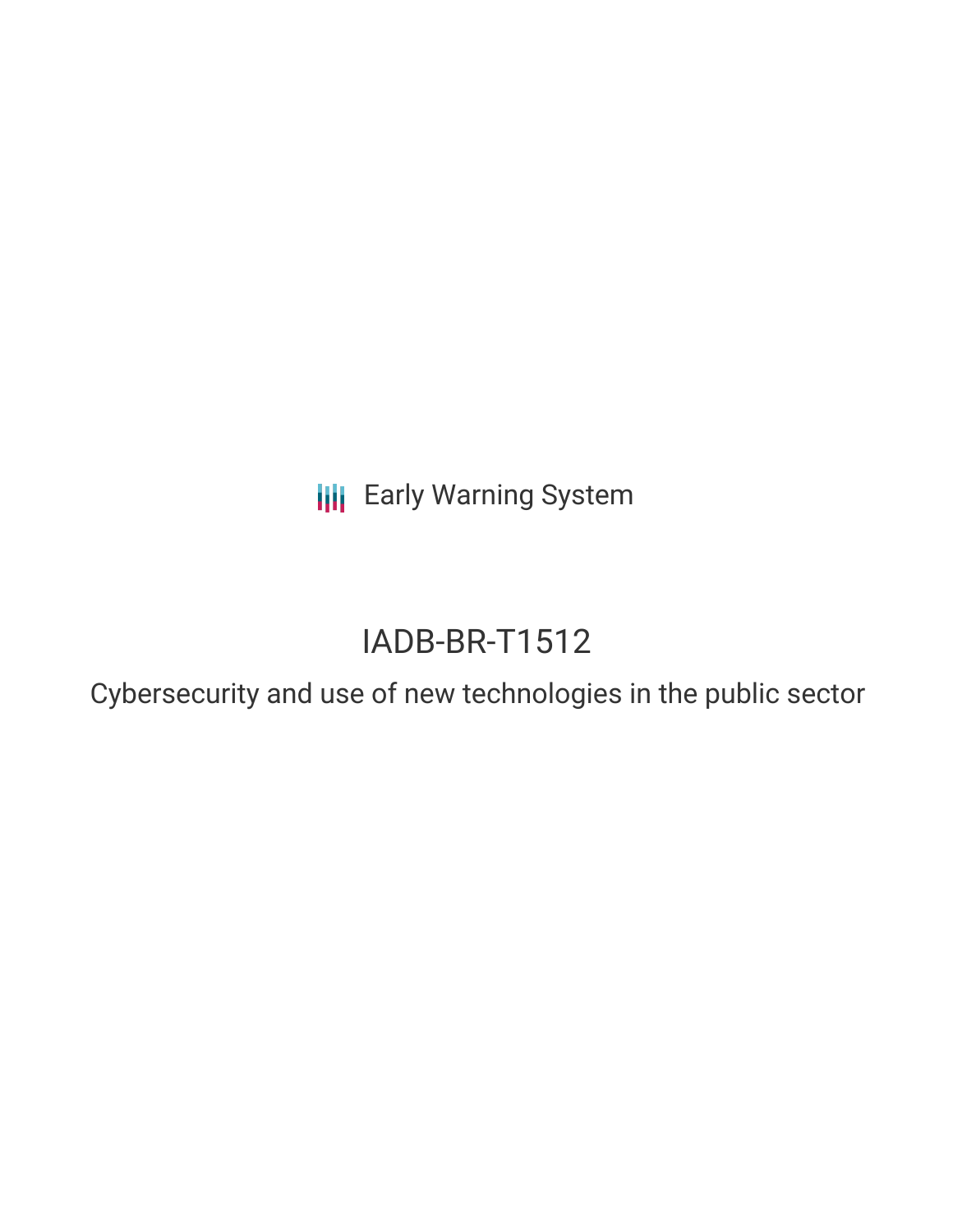**III** Early Warning System

# IADB-BR-T1512

Cybersecurity and use of new technologies in the public sector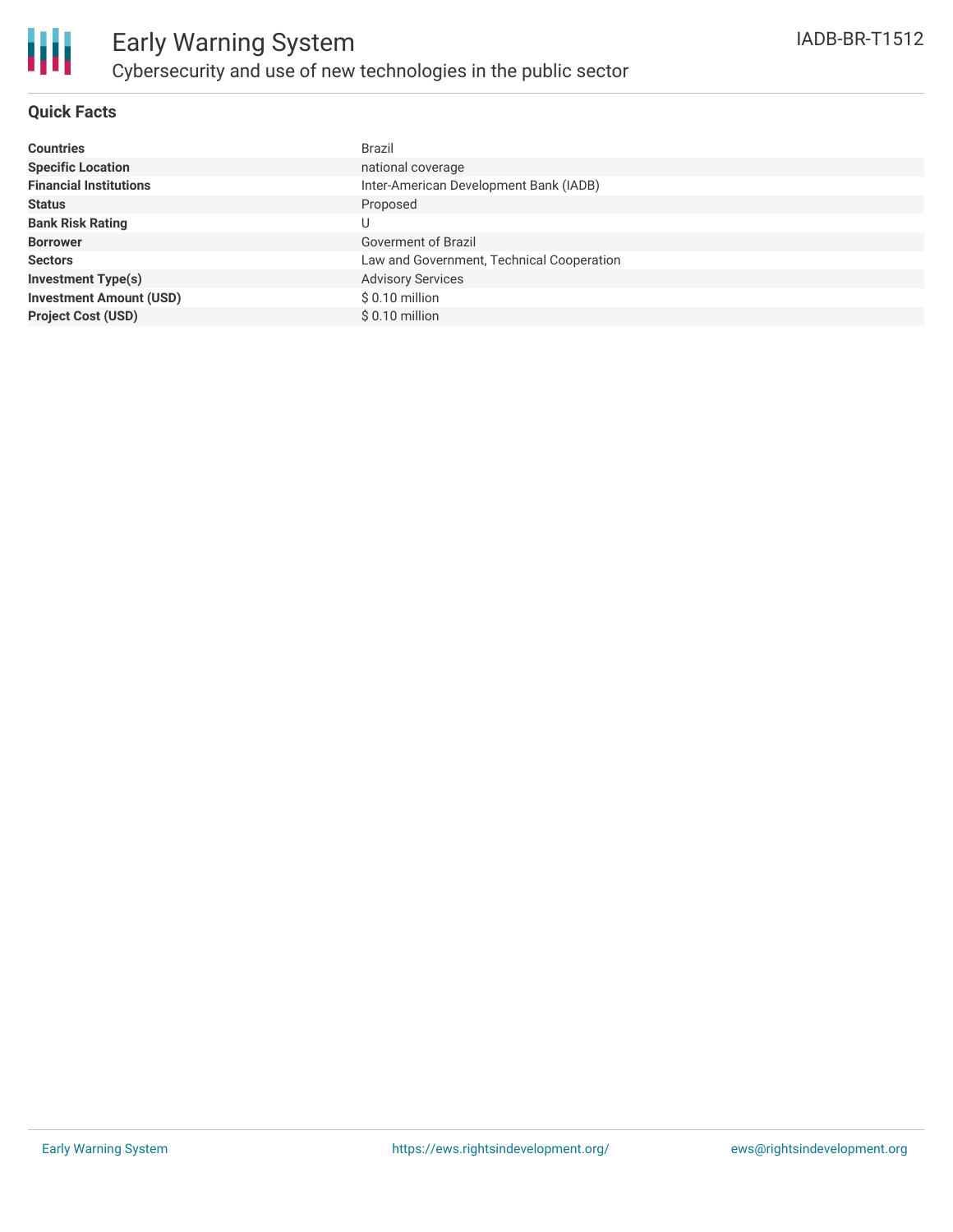

### **Quick Facts**

| <b>Countries</b>               | <b>Brazil</b>                             |
|--------------------------------|-------------------------------------------|
| <b>Specific Location</b>       | national coverage                         |
| <b>Financial Institutions</b>  | Inter-American Development Bank (IADB)    |
| <b>Status</b>                  | Proposed                                  |
| <b>Bank Risk Rating</b>        | U                                         |
| <b>Borrower</b>                | <b>Goverment of Brazil</b>                |
| <b>Sectors</b>                 | Law and Government, Technical Cooperation |
| <b>Investment Type(s)</b>      | <b>Advisory Services</b>                  |
| <b>Investment Amount (USD)</b> | $$0.10$ million                           |
| <b>Project Cost (USD)</b>      | $$0.10$ million                           |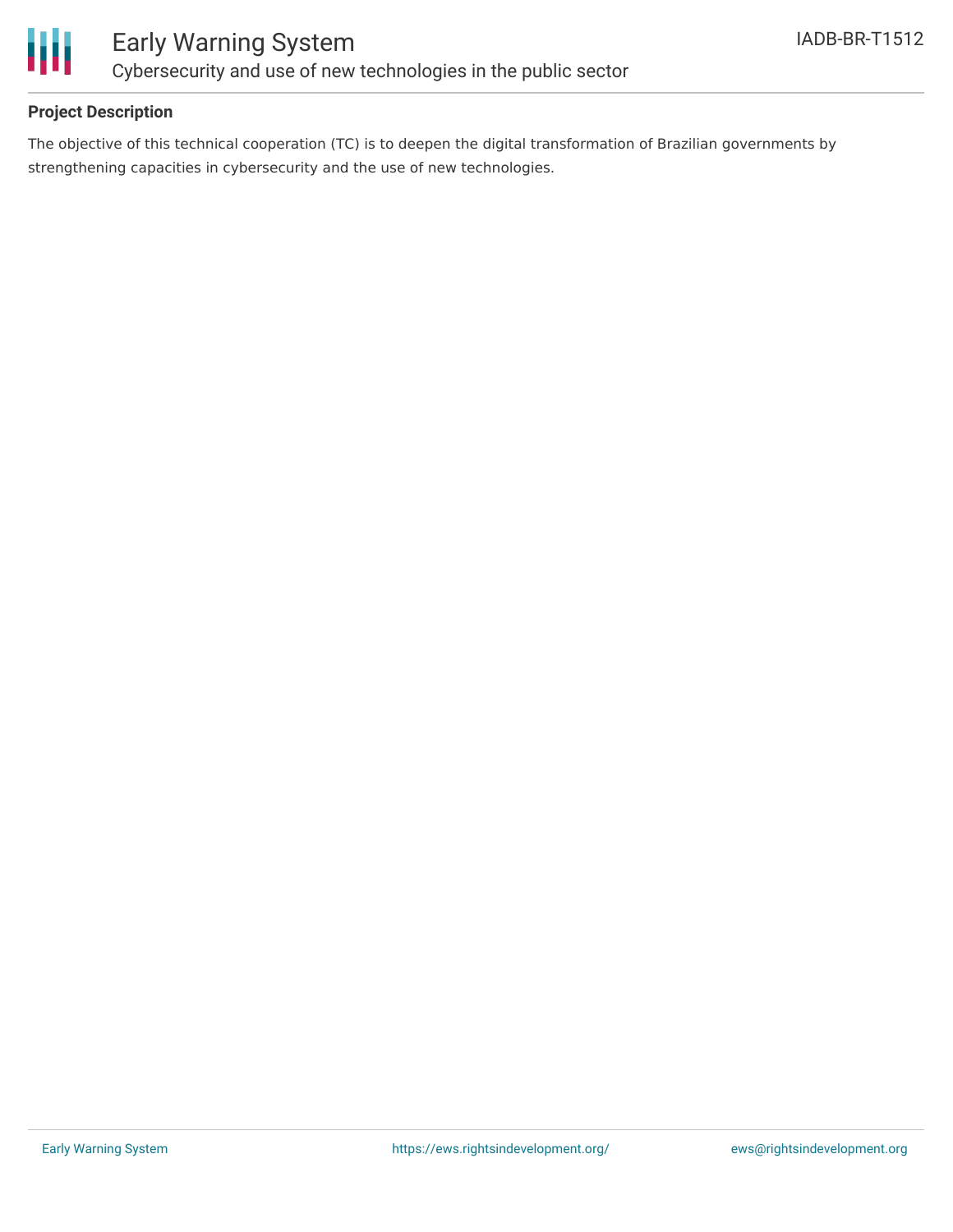

## **Project Description**

The objective of this technical cooperation (TC) is to deepen the digital transformation of Brazilian governments by strengthening capacities in cybersecurity and the use of new technologies.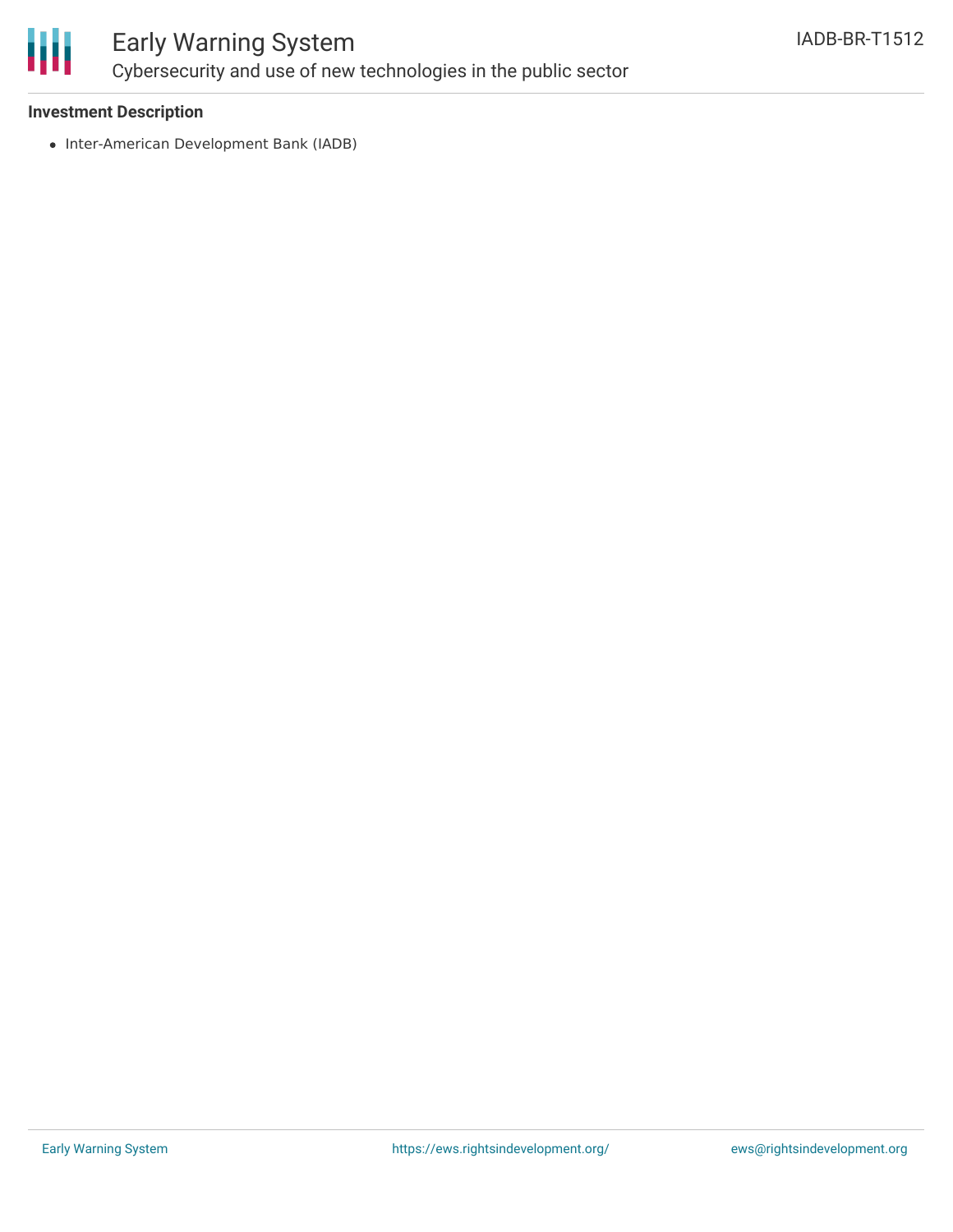

# Early Warning System Cybersecurity and use of new technologies in the public sector

#### **Investment Description**

• Inter-American Development Bank (IADB)